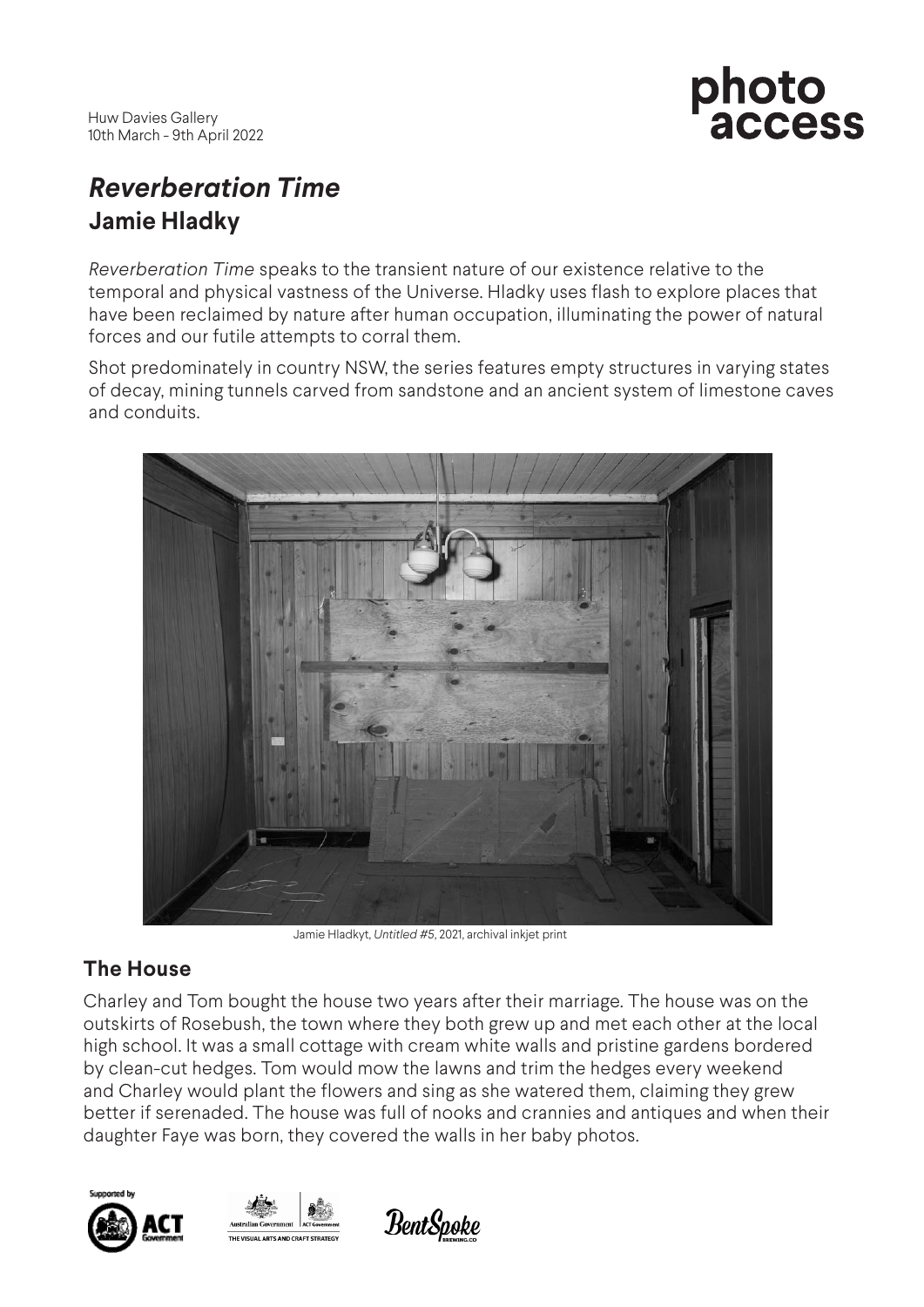

# *Reverberation Time* **Jamie Hladky**

*Reverberation Time* speaks to the transient nature of our existence relative to the temporal and physical vastness of the Universe. Hladky uses flash to explore places that have been reclaimed by nature after human occupation, illuminating the power of natural forces and our futile attempts to corral them.

Shot predominately in country NSW, the series features empty structures in varying states of decay, mining tunnels carved from sandstone and an ancient system of limestone caves and conduits.



Jamie Hladkyt, *Untitled #5*, 2021, archival inkjet print

## **The House**

Charley and Tom bought the house two years after their marriage. The house was on the outskirts of Rosebush, the town where they both grew up and met each other at the local high school. It was a small cottage with cream white walls and pristine gardens bordered by clean-cut hedges. Tom would mow the lawns and trim the hedges every weekend and Charley would plant the flowers and sing as she watered them, claiming they grew better if serenaded. The house was full of nooks and crannies and antiques and when their daughter Faye was born, they covered the walls in her baby photos.





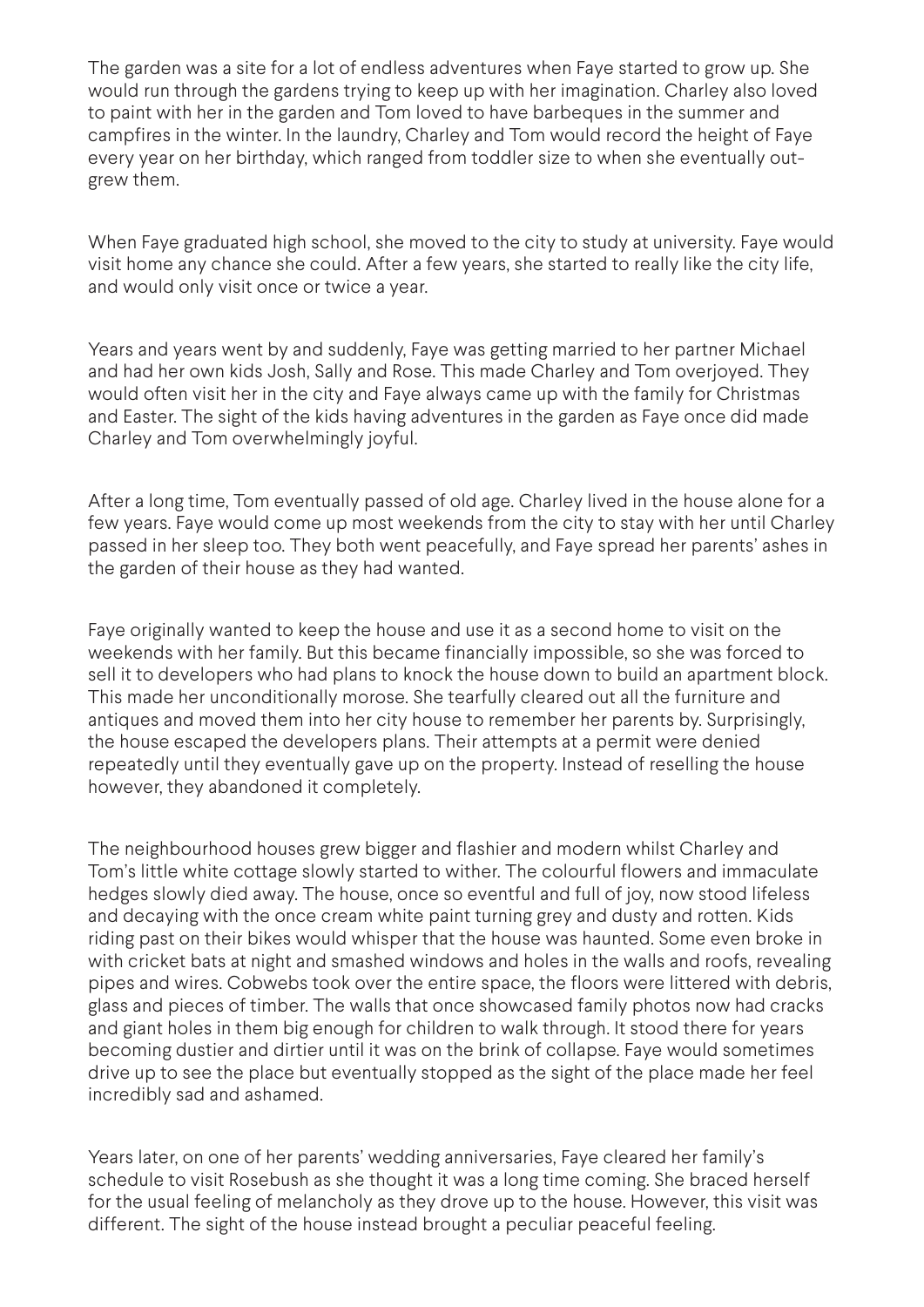The garden was a site for a lot of endless adventures when Faye started to grow up. She would run through the gardens trying to keep up with her imagination. Charley also loved to paint with her in the garden and Tom loved to have barbeques in the summer and campfires in the winter. In the laundry, Charley and Tom would record the height of Faye every year on her birthday, which ranged from toddler size to when she eventually outgrew them.

When Faye graduated high school, she moved to the city to study at university. Faye would visit home any chance she could. After a few years, she started to really like the city life, and would only visit once or twice a year.

Years and years went by and suddenly, Faye was getting married to her partner Michael and had her own kids Josh, Sally and Rose. This made Charley and Tom overjoyed. They would often visit her in the city and Faye always came up with the family for Christmas and Easter. The sight of the kids having adventures in the garden as Faye once did made Charley and Tom overwhelmingly joyful.

After a long time, Tom eventually passed of old age. Charley lived in the house alone for a few years. Faye would come up most weekends from the city to stay with her until Charley passed in her sleep too. They both went peacefully, and Faye spread her parents' ashes in the garden of their house as they had wanted.

Faye originally wanted to keep the house and use it as a second home to visit on the weekends with her family. But this became financially impossible, so she was forced to sell it to developers who had plans to knock the house down to build an apartment block. This made her unconditionally morose. She tearfully cleared out all the furniture and antiques and moved them into her city house to remember her parents by. Surprisingly, the house escaped the developers plans. Their attempts at a permit were denied repeatedly until they eventually gave up on the property. Instead of reselling the house however, they abandoned it completely.

The neighbourhood houses grew bigger and flashier and modern whilst Charley and Tom's little white cottage slowly started to wither. The colourful flowers and immaculate hedges slowly died away. The house, once so eventful and full of joy, now stood lifeless and decaying with the once cream white paint turning grey and dusty and rotten. Kids riding past on their bikes would whisper that the house was haunted. Some even broke in with cricket bats at night and smashed windows and holes in the walls and roofs, revealing pipes and wires. Cobwebs took over the entire space, the floors were littered with debris, glass and pieces of timber. The walls that once showcased family photos now had cracks and giant holes in them big enough for children to walk through. It stood there for years becoming dustier and dirtier until it was on the brink of collapse. Faye would sometimes drive up to see the place but eventually stopped as the sight of the place made her feel incredibly sad and ashamed.

Years later, on one of her parents' wedding anniversaries, Faye cleared her family's schedule to visit Rosebush as she thought it was a long time coming. She braced herself for the usual feeling of melancholy as they drove up to the house. However, this visit was different. The sight of the house instead brought a peculiar peaceful feeling.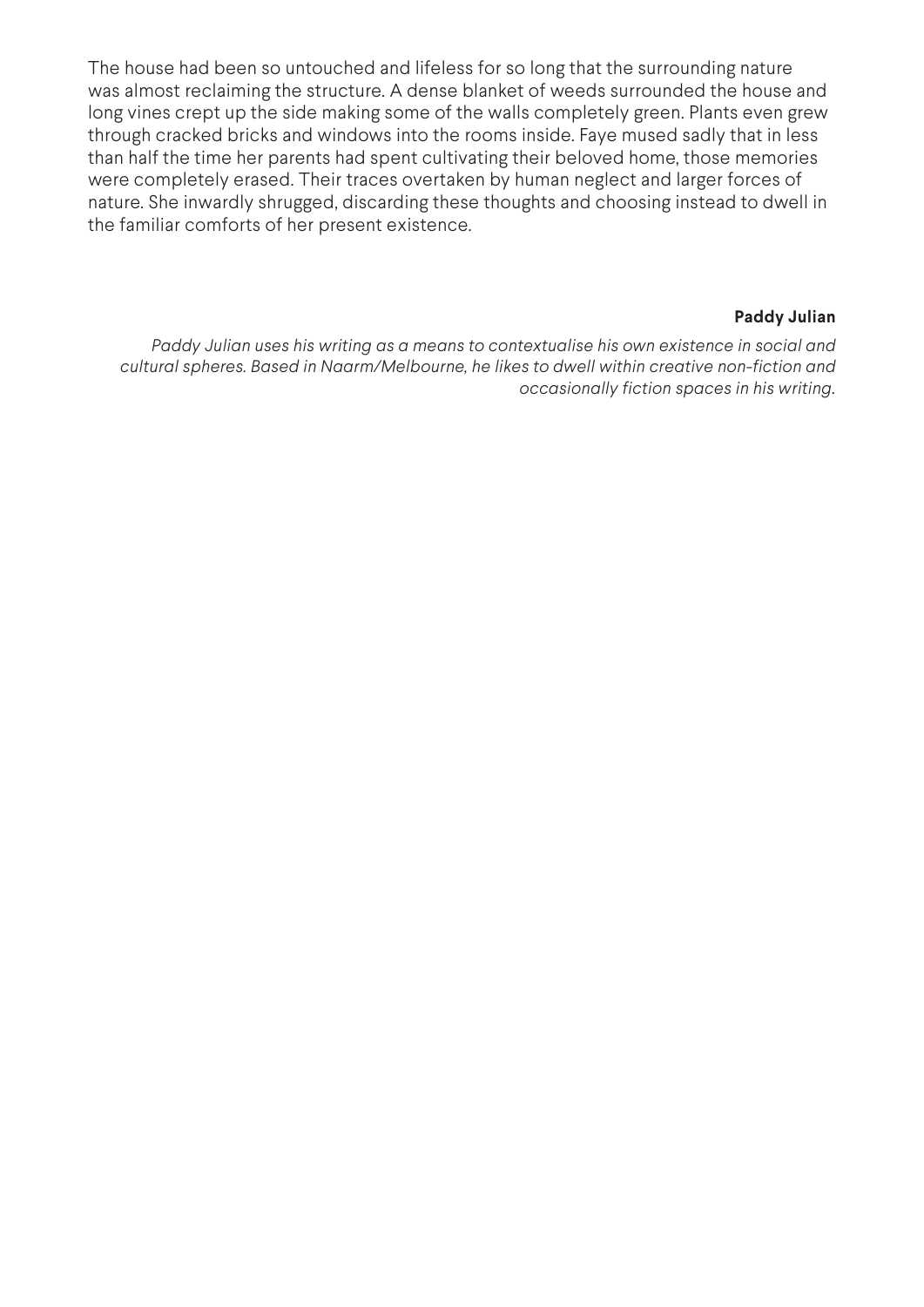The house had been so untouched and lifeless for so long that the surrounding nature was almost reclaiming the structure. A dense blanket of weeds surrounded the house and long vines crept up the side making some of the walls completely green. Plants even grew through cracked bricks and windows into the rooms inside. Faye mused sadly that in less than half the time her parents had spent cultivating their beloved home, those memories were completely erased. Their traces overtaken by human neglect and larger forces of nature. She inwardly shrugged, discarding these thoughts and choosing instead to dwell in the familiar comforts of her present existence.

### **Paddy Julian**

*Paddy Julian uses his writing as a means to contextualise his own existence in social and cultural spheres. Based in Naarm/Melbourne, he likes to dwell within creative non-fiction and occasionally fiction spaces in his writing.*